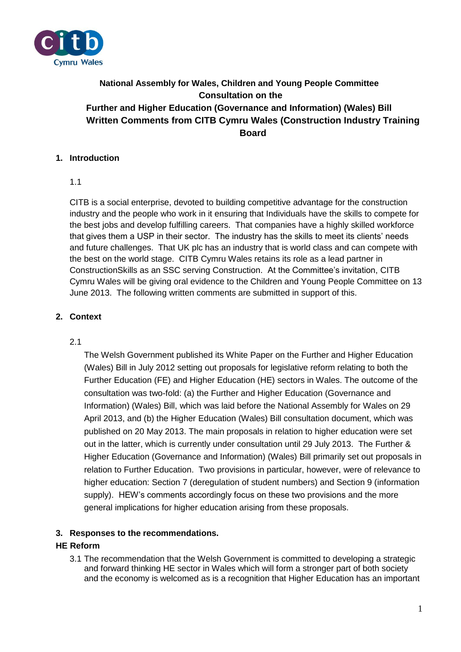

# **National Assembly for Wales, Children and Young People Committee Consultation on the Further and Higher Education (Governance and Information) (Wales) Bill Written Comments from CITB Cymru Wales (Construction Industry Training Board**

## **1. Introduction**

## 1.1

CITB is a social enterprise, devoted to building competitive advantage for the construction industry and the people who work in it ensuring that Individuals have the skills to compete for the best jobs and develop fulfilling careers. That companies have a highly skilled workforce that gives them a USP in their sector. The industry has the skills to meet its clients' needs and future challenges. That UK plc has an industry that is world class and can compete with the best on the world stage. CITB Cymru Wales retains its role as a lead partner in ConstructionSkills as an SSC serving Construction. At the Committee's invitation, CITB Cymru Wales will be giving oral evidence to the Children and Young People Committee on 13 June 2013. The following written comments are submitted in support of this.

## **2. Context**

#### 2.1

The Welsh Government published its White Paper on the Further and Higher Education (Wales) Bill in July 2012 setting out proposals for legislative reform relating to both the Further Education (FE) and Higher Education (HE) sectors in Wales. The outcome of the consultation was two-fold: (a) the Further and Higher Education (Governance and Information) (Wales) Bill, which was laid before the National Assembly for Wales on 29 April 2013, and (b) the Higher Education (Wales) Bill consultation document, which was published on 20 May 2013. The main proposals in relation to higher education were set out in the latter, which is currently under consultation until 29 July 2013. The Further & Higher Education (Governance and Information) (Wales) Bill primarily set out proposals in relation to Further Education. Two provisions in particular, however, were of relevance to higher education: Section 7 (deregulation of student numbers) and Section 9 (information supply). HEW's comments accordingly focus on these two provisions and the more general implications for higher education arising from these proposals.

#### **3. Responses to the recommendations.**

## **HE Reform**

3.1 The recommendation that the Welsh Government is committed to developing a strategic and forward thinking HE sector in Wales which will form a stronger part of both society and the economy is welcomed as is a recognition that Higher Education has an important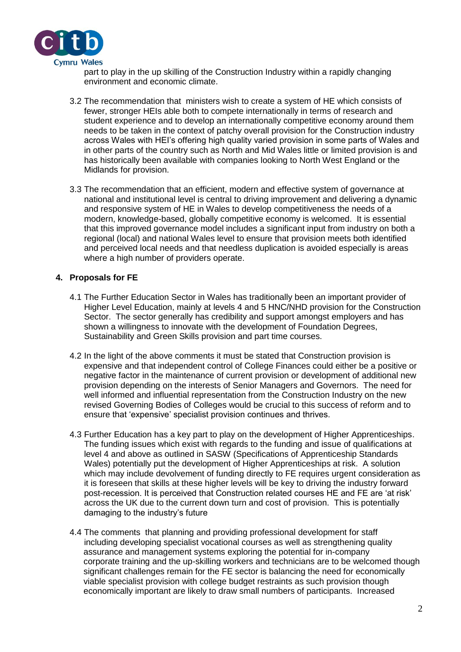

part to play in the up skilling of the Construction Industry within a rapidly changing environment and economic climate.

- 3.2 The recommendation that ministers wish to create a system of HE which consists of fewer, stronger HEIs able both to compete internationally in terms of research and student experience and to develop an internationally competitive economy around them needs to be taken in the context of patchy overall provision for the Construction industry across Wales with HEI's offering high quality varied provision in some parts of Wales and in other parts of the country such as North and Mid Wales little or limited provision is and has historically been available with companies looking to North West England or the Midlands for provision.
- 3.3 The recommendation that an efficient, modern and effective system of governance at national and institutional level is central to driving improvement and delivering a dynamic and responsive system of HE in Wales to develop competitiveness the needs of a modern, knowledge-based, globally competitive economy is welcomed. It is essential that this improved governance model includes a significant input from industry on both a regional (local) and national Wales level to ensure that provision meets both identified and perceived local needs and that needless duplication is avoided especially is areas where a high number of providers operate.

#### **4. Proposals for FE**

- 4.1 The Further Education Sector in Wales has traditionally been an important provider of Higher Level Education, mainly at levels 4 and 5 HNC/NHD provision for the Construction Sector. The sector generally has credibility and support amongst employers and has shown a willingness to innovate with the development of Foundation Degrees, Sustainability and Green Skills provision and part time courses.
- 4.2 In the light of the above comments it must be stated that Construction provision is expensive and that independent control of College Finances could either be a positive or negative factor in the maintenance of current provision or development of additional new provision depending on the interests of Senior Managers and Governors. The need for well informed and influential representation from the Construction Industry on the new revised Governing Bodies of Colleges would be crucial to this success of reform and to ensure that 'expensive' specialist provision continues and thrives.
- 4.3 Further Education has a key part to play on the development of Higher Apprenticeships. The funding issues which exist with regards to the funding and issue of qualifications at level 4 and above as outlined in SASW (Specifications of Apprenticeship Standards Wales) potentially put the development of Higher Apprenticeships at risk. A solution which may include devolvement of funding directly to FE requires urgent consideration as it is foreseen that skills at these higher levels will be key to driving the industry forward post-recession. It is perceived that Construction related courses HE and FE are 'at risk' across the UK due to the current down turn and cost of provision. This is potentially damaging to the industry's future
- 4.4 The comments that planning and providing professional development for staff including developing specialist vocational courses as well as strengthening quality assurance and management systems exploring the potential for in-company corporate training and the up-skilling workers and technicians are to be welcomed though significant challenges remain for the FE sector is balancing the need for economically viable specialist provision with college budget restraints as such provision though economically important are likely to draw small numbers of participants. Increased